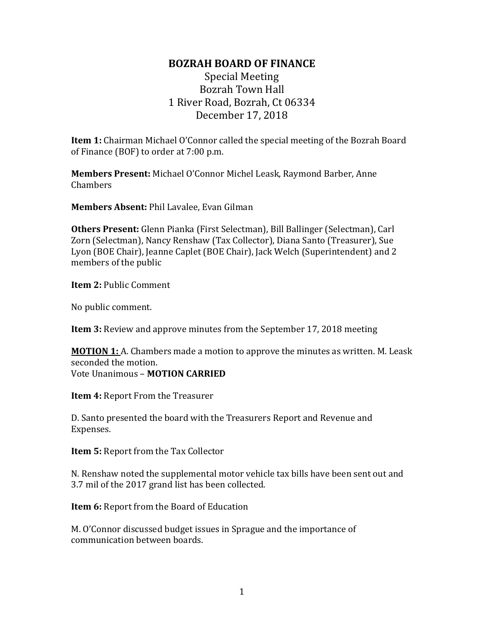## **BOZRAH BOARD OF FINANCE**

## Special Meeting Bozrah Town Hall 1 River Road, Bozrah, Ct 06334 December 17, 2018

**Item 1:** Chairman Michael O'Connor called the special meeting of the Bozrah Board of Finance (BOF) to order at 7:00 p.m.

**Members Present:** Michael O'Connor Michel Leask, Raymond Barber, Anne Chambers

**Members Absent:** Phil Lavalee, Evan Gilman

**Others Present:** Glenn Pianka (First Selectman), Bill Ballinger (Selectman), Carl Zorn (Selectman), Nancy Renshaw (Tax Collector), Diana Santo (Treasurer), Sue Lyon (BOE Chair), Jeanne Caplet (BOE Chair), Jack Welch (Superintendent) and 2 members of the public

**Item 2:** Public Comment

No public comment.

**Item 3:** Review and approve minutes from the September 17, 2018 meeting

**MOTION 1:** A. Chambers made a motion to approve the minutes as written. M. Leask seconded the motion. Vote Unanimous – **MOTION CARRIED**

**Item 4:** Report From the Treasurer

D. Santo presented the board with the Treasurers Report and Revenue and Expenses.

**Item 5:** Report from the Tax Collector

N. Renshaw noted the supplemental motor vehicle tax bills have been sent out and 3.7 mil of the 2017 grand list has been collected.

**Item 6:** Report from the Board of Education

M. O'Connor discussed budget issues in Sprague and the importance of communication between boards.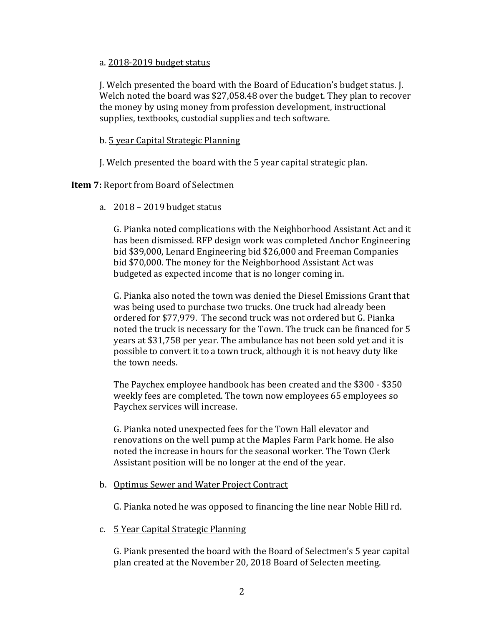## a. 2018-2019 budget status

J. Welch presented the board with the Board of Education's budget status. J. Welch noted the board was \$27,058.48 over the budget. They plan to recover the money by using money from profession development, instructional supplies, textbooks, custodial supplies and tech software.

## b. 5 year Capital Strategic Planning

J. Welch presented the board with the 5 year capital strategic plan.

**Item 7:** Report from Board of Selectmen

a. 2018 – 2019 budget status

G. Pianka noted complications with the Neighborhood Assistant Act and it has been dismissed. RFP design work was completed Anchor Engineering bid \$39,000, Lenard Engineering bid \$26,000 and Freeman Companies bid \$70,000. The money for the Neighborhood Assistant Act was budgeted as expected income that is no longer coming in.

G. Pianka also noted the town was denied the Diesel Emissions Grant that was being used to purchase two trucks. One truck had already been ordered for \$77,979. The second truck was not ordered but G. Pianka noted the truck is necessary for the Town. The truck can be financed for 5 years at \$31,758 per year. The ambulance has not been sold yet and it is possible to convert it to a town truck, although it is not heavy duty like the town needs.

The Paychex employee handbook has been created and the \$300 - \$350 weekly fees are completed. The town now employees 65 employees so Paychex services will increase.

G. Pianka noted unexpected fees for the Town Hall elevator and renovations on the well pump at the Maples Farm Park home. He also noted the increase in hours for the seasonal worker. The Town Clerk Assistant position will be no longer at the end of the year.

b. Optimus Sewer and Water Project Contract

G. Pianka noted he was opposed to financing the line near Noble Hill rd.

c. 5 Year Capital Strategic Planning

G. Piank presented the board with the Board of Selectmen's 5 year capital plan created at the November 20, 2018 Board of Selecten meeting.